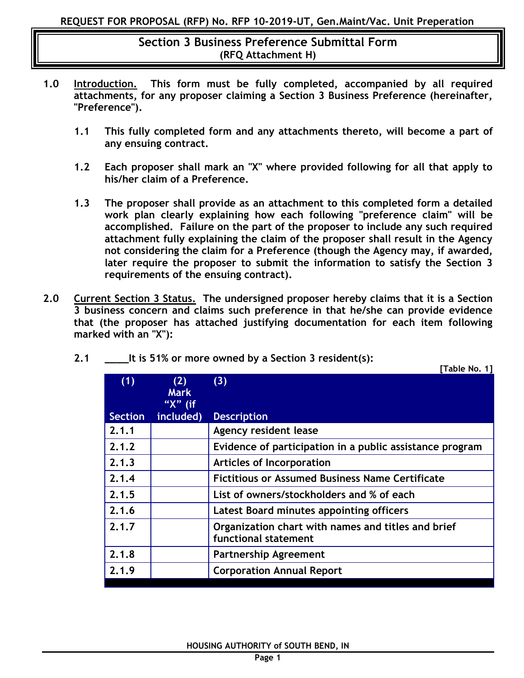- **1.0 Introduction. This form must be fully completed, accompanied by all required attachments, for any proposer claiming a Section 3 Business Preference (hereinafter, "Preference").**
	- **1.1 This fully completed form and any attachments thereto, will become a part of any ensuing contract.**
	- **1.2 Each proposer shall mark an "X" where provided following for all that apply to his/her claim of a Preference.**
	- **1.3 The proposer shall provide as an attachment to this completed form a detailed work plan clearly explaining how each following "preference claim" will be accomplished. Failure on the part of the proposer to include any such required attachment fully explaining the claim of the proposer shall result in the Agency not considering the claim for a Preference (though the Agency may, if awarded, later require the proposer to submit the information to satisfy the Section 3 requirements of the ensuing contract).**
- **2.0 Current Section 3 Status. The undersigned proposer hereby claims that it is a Section 3 business concern and claims such preference in that he/she can provide evidence that (the proposer has attached justifying documentation for each item following marked with an "X"):**

| (1)            | (2)<br><b>Mark</b><br>" $X"$ (if | [Table No. 1]<br>(3)                                                       |
|----------------|----------------------------------|----------------------------------------------------------------------------|
| <b>Section</b> | included)                        | <b>Description</b>                                                         |
| 2.1.1          |                                  | Agency resident lease                                                      |
| 2.1.2          |                                  | Evidence of participation in a public assistance program                   |
| 2.1.3          |                                  | <b>Articles of Incorporation</b>                                           |
| 2.1.4          |                                  | <b>Fictitious or Assumed Business Name Certificate</b>                     |
| 2.1.5          |                                  | List of owners/stockholders and % of each                                  |
| 2.1.6          |                                  | Latest Board minutes appointing officers                                   |
| 2.1.7          |                                  | Organization chart with names and titles and brief<br>functional statement |
| 2.1.8          |                                  | <b>Partnership Agreement</b>                                               |
| 2.1.9          |                                  | <b>Corporation Annual Report</b>                                           |

**[Table No. 1]**

**2.1 \_\_\_\_It is 51% or more owned by a Section 3 resident(s):**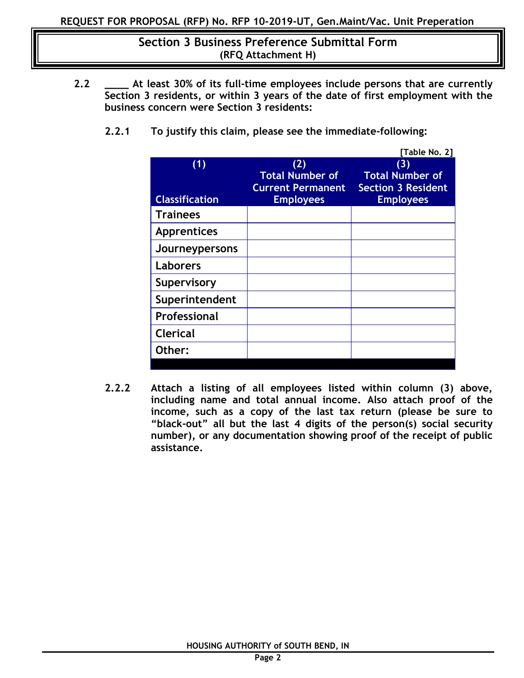- **2.2 \_\_\_\_ At least 30% of its full-time employees include persons that are currently Section 3 residents, or within 3 years of the date of first employment with the business concern were Section 3 residents:**
	- **[Table No. 2] (1) Classification (2) Total Number of Current Permanent Employees (3) Total Number of Section 3 Resident Employees Trainees Apprentices Journeypersons Laborers Supervisory Superintendent Professional Clerical Other:**
	- **2.2.1 To justify this claim, please see the immediate-following:**

**2.2.2 Attach a listing of all employees listed within column (3) above, including name and total annual income. Also attach proof of the income, such as a copy of the last tax return (please be sure to "black-out" all but the last 4 digits of the person(s) social security number), or any documentation showing proof of the receipt of public assistance.**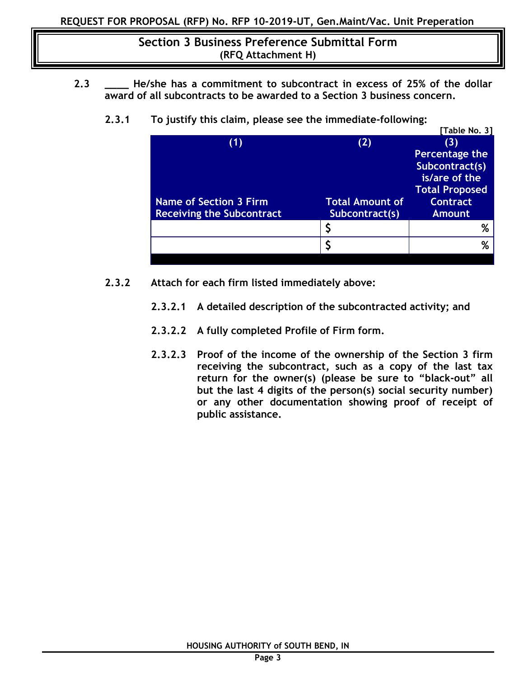- **2.3 \_\_\_\_ He/she has a commitment to subcontract in excess of 25% of the dollar award of all subcontracts to be awarded to a Section 3 business concern.**
	- **2.3.1 To justify this claim, please see the immediate-following:**

|                                  |                        | [Table No. 3]         |
|----------------------------------|------------------------|-----------------------|
| (1)                              | (2)                    | (3)                   |
|                                  |                        | Percentage the        |
|                                  |                        | Subcontract(s)        |
|                                  |                        | is/are of the         |
|                                  |                        | <b>Total Proposed</b> |
|                                  |                        |                       |
| <b>Name of Section 3 Firm</b>    | <b>Total Amount of</b> | <b>Contract</b>       |
| <b>Receiving the Subcontract</b> | Subcontract(s)         | <b>Amount</b>         |
|                                  | \$                     | %                     |
|                                  |                        | %                     |

- **2.3.2 Attach for each firm listed immediately above:**
	- **2.3.2.1 A detailed description of the subcontracted activity; and**
	- **2.3.2.2 A fully completed Profile of Firm form.**
	- **2.3.2.3 Proof of the income of the ownership of the Section 3 firm receiving the subcontract, such as a copy of the last tax return for the owner(s) (please be sure to "black-out" all but the last 4 digits of the person(s) social security number) or any other documentation showing proof of receipt of public assistance.**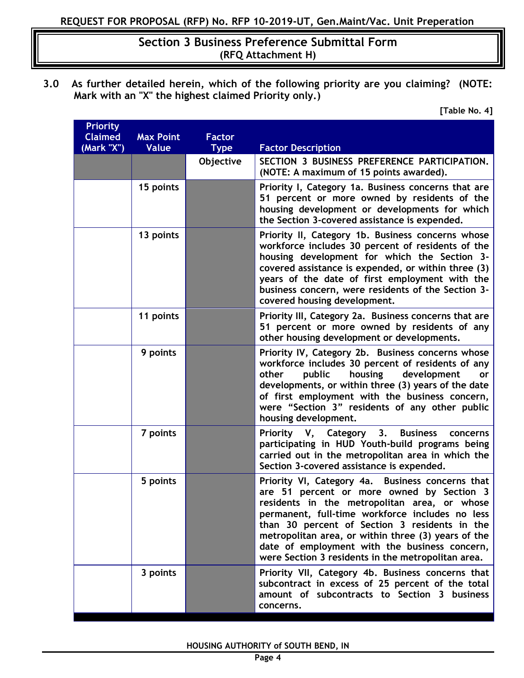**3.0 As further detailed herein, which of the following priority are you claiming? (NOTE: Mark with an "X" the highest claimed Priority only.)** 

**[Table No. 4]**

| <b>Priority</b><br><b>Claimed</b><br>(Mark "X") | <b>Max Point</b><br>Value | <b>Factor</b><br><b>Type</b> | <b>Factor Description</b>                                                                                                                                                                                                                                                                                                                                                                                       |
|-------------------------------------------------|---------------------------|------------------------------|-----------------------------------------------------------------------------------------------------------------------------------------------------------------------------------------------------------------------------------------------------------------------------------------------------------------------------------------------------------------------------------------------------------------|
|                                                 |                           | Objective                    | SECTION 3 BUSINESS PREFERENCE PARTICIPATION.<br>(NOTE: A maximum of 15 points awarded).                                                                                                                                                                                                                                                                                                                         |
|                                                 | 15 points                 |                              | Priority I, Category 1a. Business concerns that are<br>51 percent or more owned by residents of the<br>housing development or developments for which<br>the Section 3-covered assistance is expended.                                                                                                                                                                                                           |
|                                                 | 13 points                 |                              | Priority II, Category 1b. Business concerns whose<br>workforce includes 30 percent of residents of the<br>housing development for which the Section 3-<br>covered assistance is expended, or within three (3)<br>years of the date of first employment with the<br>business concern, were residents of the Section 3-<br>covered housing development.                                                           |
|                                                 | 11 points                 |                              | Priority III, Category 2a. Business concerns that are<br>51 percent or more owned by residents of any<br>other housing development or developments.                                                                                                                                                                                                                                                             |
|                                                 | 9 points                  |                              | Priority IV, Category 2b. Business concerns whose<br>workforce includes 30 percent of residents of any<br>housing<br>other<br>public<br>development<br>or<br>developments, or within three (3) years of the date<br>of first employment with the business concern,<br>were "Section 3" residents of any other public<br>housing development.                                                                    |
|                                                 | 7 points                  |                              | Priority V, Category 3. Business<br>concerns<br>participating in HUD Youth-build programs being<br>carried out in the metropolitan area in which the<br>Section 3-covered assistance is expended.                                                                                                                                                                                                               |
|                                                 | 5 points                  |                              | Priority VI, Category 4a. Business concerns that<br>are 51 percent or more owned by Section 3<br>residents in the metropolitan area, or whose<br>permanent, full-time workforce includes no less<br>than 30 percent of Section 3 residents in the<br>metropolitan area, or within three (3) years of the<br>date of employment with the business concern,<br>were Section 3 residents in the metropolitan area. |
|                                                 | 3 points                  |                              | Priority VII, Category 4b. Business concerns that<br>subcontract in excess of 25 percent of the total<br>amount of subcontracts to Section 3 business<br>concerns.                                                                                                                                                                                                                                              |